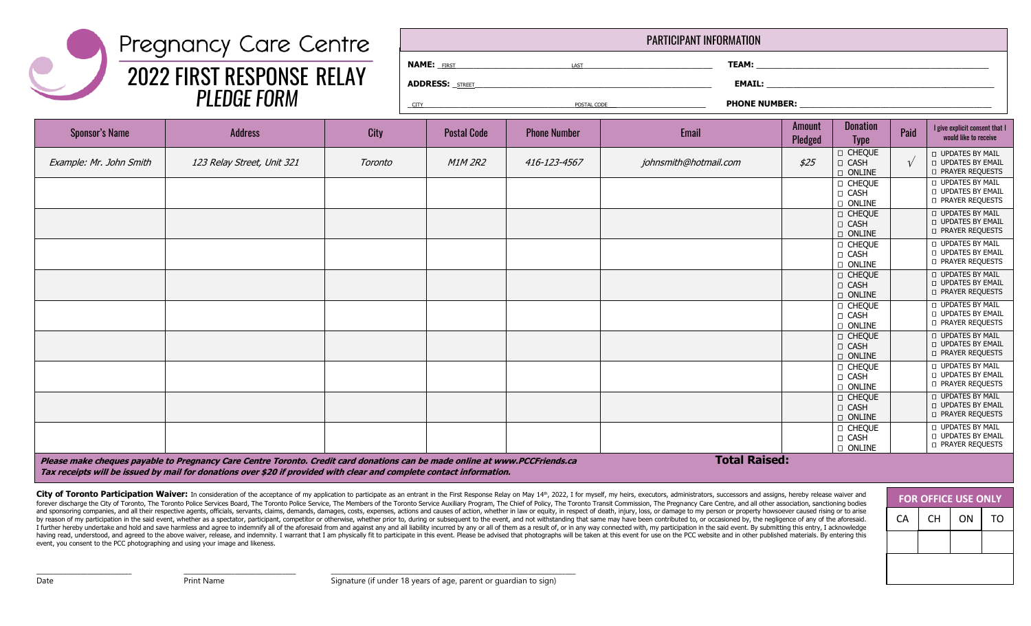## Pregnancy Care Centre 2022 FIRST RESPONSE RELAY PLEDGE FORM

| <b>PARTICIPANT INFORMATION</b>                  |                                                                                                                                                                                                                                           |                                                                                                                |  |  |  |  |  |  |  |
|-------------------------------------------------|-------------------------------------------------------------------------------------------------------------------------------------------------------------------------------------------------------------------------------------------|----------------------------------------------------------------------------------------------------------------|--|--|--|--|--|--|--|
| <b>NAME:</b> FIRST <b>FIRST</b>                 | LAST                                                                                                                                                                                                                                      |                                                                                                                |  |  |  |  |  |  |  |
|                                                 | <b>ADDRESS:</b> STREET <b>AND THE STATE OF A STATE OF A STATE OF A STATE OF A STATE OF A STATE OF A STATE OF A STATE OF A STATE OF A STATE OF A STATE OF A STATE OF A STATE OF A STATE OF A STATE OF A STATE OF A STATE OF A STATE OF</b> |                                                                                                                |  |  |  |  |  |  |  |
| <u>CITY</u> CITY CITY CONTROL CITY CONTROL CITY | POSTAL CODE                                                                                                                                                                                                                               | PHONE NUMBER: NAME AND A STRAIGHT AND A STRAIGHT AND A STRAIGHT AND A STRAIGHT AND A STRAIGHT AND A STRAIGHT A |  |  |  |  |  |  |  |
|                                                 |                                                                                                                                                                                                                                           |                                                                                                                |  |  |  |  |  |  |  |

| <b>Sponsor's Name</b>   | <b>Address</b>             | <b>City</b> | <b>Postal Code</b> | <b>Phone Number</b> | Email                 | Amount<br>Pledged | <b>Donation</b><br><b>Type</b>                      | Paid       | I give explicit consent that I<br>would like to receive                            |
|-------------------------|----------------------------|-------------|--------------------|---------------------|-----------------------|-------------------|-----------------------------------------------------|------------|------------------------------------------------------------------------------------|
| Example: Mr. John Smith | 123 Relay Street, Unit 321 | Toronto     | <b>M1M 2R2</b>     | 416-123-4567        | johnsmith@hotmail.com | \$25              | <b>D</b> CHEQUE<br><b>D</b> CASH<br><b>D</b> ONLINE | $\sqrt{ }$ | <b>UPDATES BY MAIL</b><br><b>UPDATES BY EMAIL</b><br><b>D PRAYER REQUESTS</b>      |
|                         |                            |             |                    |                     |                       |                   | <b>D CHEQUE</b><br><b>D CASH</b><br><b>D</b> ONLINE |            | <b>LI UPDATES BY MAIL</b><br><b>D UPDATES BY EMAIL</b><br><b>D PRAYER REQUESTS</b> |
|                         |                            |             |                    |                     |                       |                   | <b>D CHEQUE</b><br><b>D</b> CASH<br><b>D</b> ONLINE |            | <b>D UPDATES BY MAIL</b><br><b>D UPDATES BY EMAIL</b><br><b>D PRAYER REQUESTS</b>  |
|                         |                            |             |                    |                     |                       |                   | <b>D</b> CHEQUE<br><b>D</b> CASH<br><b>D</b> ONLINE |            | <b>D</b> UPDATES BY MAIL<br><b>D</b> UPDATES BY EMAIL<br><b>D PRAYER REQUESTS</b>  |
|                         |                            |             |                    |                     |                       |                   | <b>D CHEQUE</b><br><b>D CASH</b><br>D ONLINE        |            | <b>D</b> UPDATES BY MAIL<br><b>D UPDATES BY EMAIL</b><br><b>D PRAYER REQUESTS</b>  |
|                         |                            |             |                    |                     |                       |                   | <b>D CHEQUE</b><br><b>D</b> CASH<br><b>D</b> ONLINE |            | <b>D</b> UPDATES BY MAIL<br><b>D UPDATES BY EMAIL</b><br><b>D PRAYER REQUESTS</b>  |
|                         |                            |             |                    |                     |                       |                   | <b>D CHEQUE</b><br><b>D</b> CASH<br><b>D</b> ONLINE |            | <b>D UPDATES BY MAIL</b><br><b>D UPDATES BY EMAIL</b><br><b>D PRAYER REQUESTS</b>  |
|                         |                            |             |                    |                     |                       |                   | <b>D</b> CHEQUE<br><b>D CASH</b><br><b>D ONLINE</b> |            | <b>D</b> UPDATES BY MAIL<br><b>D UPDATES BY EMAIL</b><br><b>D PRAYER REQUESTS</b>  |
|                         |                            |             |                    |                     |                       |                   | <b>D</b> CHEQUE<br><b>D CASH</b><br><b>D</b> ONLINE |            | <b>UPDATES BY MAIL</b><br><b>D UPDATES BY EMAIL</b><br><b>D PRAYER REQUESTS</b>    |
|                         |                            |             |                    |                     |                       |                   | <b>O CHEQUE</b><br><b>D</b> CASH<br><b>D</b> ONLINE |            | <b>LI UPDATES BY MAIL</b><br><b>D UPDATES BY EMAIL</b><br><b>D PRAYER REQUESTS</b> |

**Please make cheques payable to Pregnancy Care Centre Toronto. Credit card donations can be made online at www.PCCFriends.ca Total Raised: Tax receipts will be issued by mail for donations over \$20 if provided with clear and complete contact information.** 

\_\_\_\_\_\_\_\_\_\_\_\_\_\_\_\_\_\_\_\_\_\_\_\_\_\_\_\_ \_\_\_\_\_\_\_\_\_\_\_\_\_\_\_\_\_\_\_\_\_\_\_\_\_\_\_\_\_\_\_\_\_ \_\_\_\_\_\_\_\_\_\_\_\_\_\_\_\_\_\_\_\_\_\_\_\_\_\_\_\_\_\_\_\_\_\_\_\_\_\_\_\_\_\_\_\_\_\_\_\_\_\_\_\_\_\_\_\_\_\_\_\_\_\_\_\_\_\_\_\_\_\_\_\_

City of Toronto Participation Waiver: In consideration of the acceptance of my application to participate as an entrant in the First Response Relay on May 14th, 2022, I for myself, my heirs, executors, administrators, succ forever discharge the City of Toronto, The Toronto Police Services Board, The Toronto Police Service, The Members of the Toronto Service Auxiliary Program, The Chief of Policy, The Toronto Transit Commission, The Pregnancy and sponsoring companies, and all their respective agents, officials, servants, claims, demands, damages, costs, expenses, actions and causes of action, whether in law or equity, in respect of death, injury, loss, or damag by reason of my participation in the said event, whether as a spectator, participant, competitor or otherwise, whether prior to, during or subsequent to the event, and not withstanding that same may have been contributed t I further hereby undertake and hold and save harmless and agree to indemnify all of the aforesaid from and against any and all liability incurred by any or all of them as a result of, or in any way connected with, my parti having read, understood, and agreed to the above waiver, release, and indemnity. I warrant that I am physically fit to participate in this event. Please be advised that photographs will be taken at this event for use on th event, you consent to the PCC photographing and using your image and likeness.



Date **Print Name** Print Name Signature (if under 18 years of age, parent or guardian to sign)